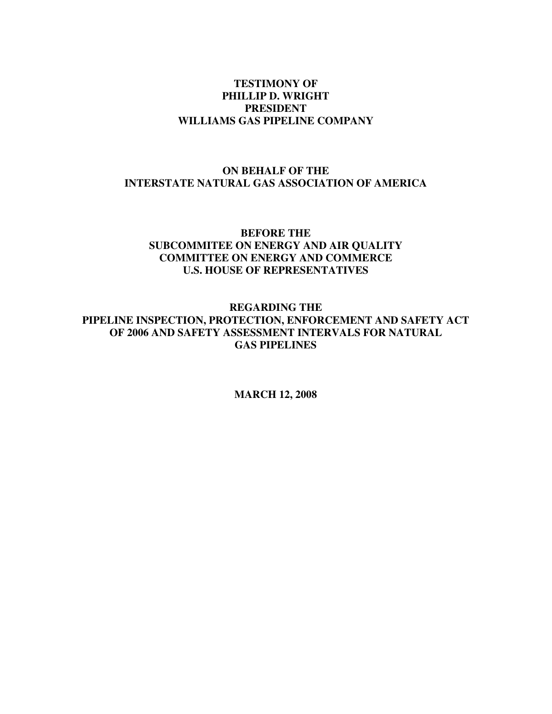#### **TESTIMONY OF PHILLIP D. WRIGHT PRESIDENT WILLIAMS GAS PIPELINE COMPANY**

## **ON BEHALF OF THE INTERSTATE NATURAL GAS ASSOCIATION OF AMERICA**

#### **BEFORE THE SUBCOMMITEE ON ENERGY AND AIR QUALITY COMMITTEE ON ENERGY AND COMMERCE U.S. HOUSE OF REPRESENTATIVES**

**REGARDING THE PIPELINE INSPECTION, PROTECTION, ENFORCEMENT AND SAFETY ACT OF 2006 AND SAFETY ASSESSMENT INTERVALS FOR NATURAL GAS PIPELINES** 

**MARCH 12, 2008**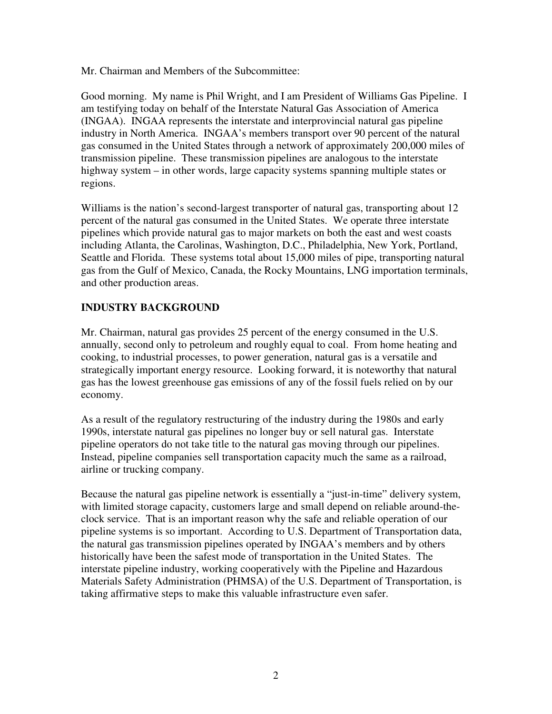Mr. Chairman and Members of the Subcommittee:

Good morning. My name is Phil Wright, and I am President of Williams Gas Pipeline. I am testifying today on behalf of the Interstate Natural Gas Association of America (INGAA). INGAA represents the interstate and interprovincial natural gas pipeline industry in North America. INGAA's members transport over 90 percent of the natural gas consumed in the United States through a network of approximately 200,000 miles of transmission pipeline. These transmission pipelines are analogous to the interstate highway system – in other words, large capacity systems spanning multiple states or regions.

Williams is the nation's second-largest transporter of natural gas, transporting about 12 percent of the natural gas consumed in the United States. We operate three interstate pipelines which provide natural gas to major markets on both the east and west coasts including Atlanta, the Carolinas, Washington, D.C., Philadelphia, New York, Portland, Seattle and Florida. These systems total about 15,000 miles of pipe, transporting natural gas from the Gulf of Mexico, Canada, the Rocky Mountains, LNG importation terminals, and other production areas.

## **INDUSTRY BACKGROUND**

Mr. Chairman, natural gas provides 25 percent of the energy consumed in the U.S. annually, second only to petroleum and roughly equal to coal. From home heating and cooking, to industrial processes, to power generation, natural gas is a versatile and strategically important energy resource. Looking forward, it is noteworthy that natural gas has the lowest greenhouse gas emissions of any of the fossil fuels relied on by our economy.

As a result of the regulatory restructuring of the industry during the 1980s and early 1990s, interstate natural gas pipelines no longer buy or sell natural gas. Interstate pipeline operators do not take title to the natural gas moving through our pipelines. Instead, pipeline companies sell transportation capacity much the same as a railroad, airline or trucking company.

Because the natural gas pipeline network is essentially a "just-in-time" delivery system, with limited storage capacity, customers large and small depend on reliable around-theclock service. That is an important reason why the safe and reliable operation of our pipeline systems is so important. According to U.S. Department of Transportation data, the natural gas transmission pipelines operated by INGAA's members and by others historically have been the safest mode of transportation in the United States. The interstate pipeline industry, working cooperatively with the Pipeline and Hazardous Materials Safety Administration (PHMSA) of the U.S. Department of Transportation, is taking affirmative steps to make this valuable infrastructure even safer.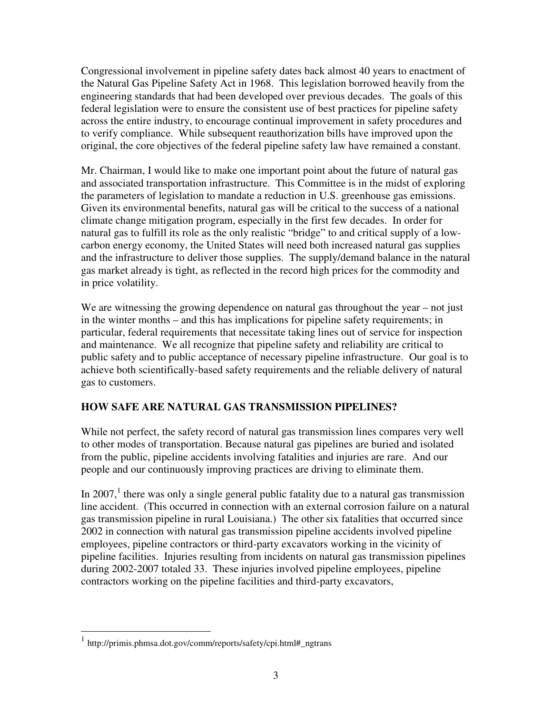Congressional involvement in pipeline safety dates back almost 40 years to enactment of the Natural Gas Pipeline Safety Act in 1968. This legislation borrowed heavily from the engineering standards that had been developed over previous decades. The goals of this federal legislation were to ensure the consistent use of best practices for pipeline safety across the entire industry, to encourage continual improvement in safety procedures and to verify compliance. While subsequent reauthorization bills have improved upon the original, the core objectives of the federal pipeline safety law have remained a constant.

Mr. Chairman, I would like to make one important point about the future of natural gas and associated transportation infrastructure. This Committee is in the midst of exploring the parameters of legislation to mandate a reduction in U.S. greenhouse gas emissions. Given its environmental benefits, natural gas will be critical to the success of a national climate change mitigation program, especially in the first few decades. In order for natural gas to fulfill its role as the only realistic "bridge" to and critical supply of a lowcarbon energy economy, the United States will need both increased natural gas supplies and the infrastructure to deliver those supplies. The supply/demand balance in the natural gas market already is tight, as reflected in the record high prices for the commodity and in price volatility.

We are witnessing the growing dependence on natural gas throughout the year – not just in the winter months – and this has implications for pipeline safety requirements; in particular, federal requirements that necessitate taking lines out of service for inspection and maintenance. We all recognize that pipeline safety and reliability are critical to public safety and to public acceptance of necessary pipeline infrastructure. Our goal is to achieve both scientifically-based safety requirements and the reliable delivery of natural gas to customers.

# **HOW SAFE ARE NATURAL GAS TRANSMISSION PIPELINES?**

While not perfect, the safety record of natural gas transmission lines compares very well to other modes of transportation. Because natural gas pipelines are buried and isolated from the public, pipeline accidents involving fatalities and injuries are rare. And our people and our continuously improving practices are driving to eliminate them.

In 2007,<sup>1</sup> there was only a single general public fatality due to a natural gas transmission line accident. (This occurred in connection with an external corrosion failure on a natural gas transmission pipeline in rural Louisiana.) The other six fatalities that occurred since 2002 in connection with natural gas transmission pipeline accidents involved pipeline employees, pipeline contractors or third-party excavators working in the vicinity of pipeline facilities. Injuries resulting from incidents on natural gas transmission pipelines during 2002-2007 totaled 33. These injuries involved pipeline employees, pipeline contractors working on the pipeline facilities and third-party excavators,

 $\overline{a}$ 

<sup>1</sup> http://primis.phmsa.dot.gov/comm/reports/safety/cpi.html#\_ngtrans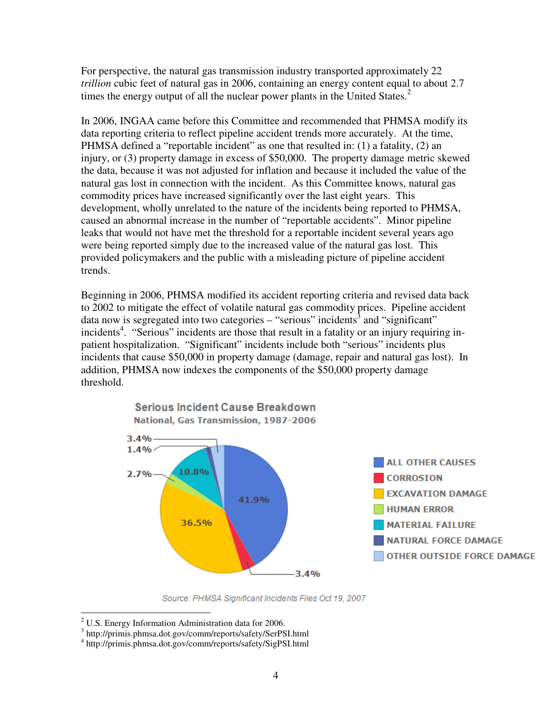For perspective, the natural gas transmission industry transported approximately 22 *trillion* cubic feet of natural gas in 2006, containing an energy content equal to about 2.7 times the energy output of all the nuclear power plants in the United States.<sup>2</sup>

In 2006, INGAA came before this Committee and recommended that PHMSA modify its data reporting criteria to reflect pipeline accident trends more accurately. At the time, PHMSA defined a "reportable incident" as one that resulted in: (1) a fatality, (2) an injury, or (3) property damage in excess of \$50,000. The property damage metric skewed the data, because it was not adjusted for inflation and because it included the value of the natural gas lost in connection with the incident. As this Committee knows, natural gas commodity prices have increased significantly over the last eight years. This development, wholly unrelated to the nature of the incidents being reported to PHMSA, caused an abnormal increase in the number of "reportable accidents". Minor pipeline leaks that would not have met the threshold for a reportable incident several years ago were being reported simply due to the increased value of the natural gas lost. This provided policymakers and the public with a misleading picture of pipeline accident trends.

Beginning in 2006, PHMSA modified its accident reporting criteria and revised data back to 2002 to mitigate the effect of volatile natural gas commodity prices. Pipeline accident data now is segregated into two categories  $-$  "serious" incidents<sup>3</sup> and "significant" incidents<sup>4</sup>. "Serious" incidents are those that result in a fatality or an injury requiring inpatient hospitalization. "Significant" incidents include both "serious" incidents plus incidents that cause \$50,000 in property damage (damage, repair and natural gas lost). In addition, PHMSA now indexes the components of the \$50,000 property damage threshold.



Source: PHMSA Significant Incidents Files Oct 19, 2007

 2 U.S. Energy Information Administration data for 2006.

<sup>3</sup> http://primis.phmsa.dot.gov/comm/reports/safety/SerPSI.html

<sup>4</sup> http://primis.phmsa.dot.gov/comm/reports/safety/SigPSI.html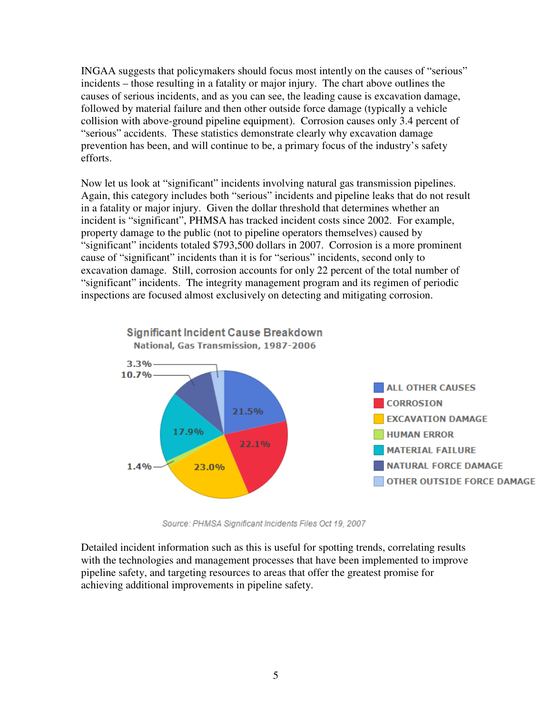INGAA suggests that policymakers should focus most intently on the causes of "serious" incidents – those resulting in a fatality or major injury. The chart above outlines the causes of serious incidents, and as you can see, the leading cause is excavation damage, followed by material failure and then other outside force damage (typically a vehicle collision with above-ground pipeline equipment). Corrosion causes only 3.4 percent of "serious" accidents. These statistics demonstrate clearly why excavation damage prevention has been, and will continue to be, a primary focus of the industry's safety efforts.

Now let us look at "significant" incidents involving natural gas transmission pipelines. Again, this category includes both "serious" incidents and pipeline leaks that do not result in a fatality or major injury. Given the dollar threshold that determines whether an incident is "significant", PHMSA has tracked incident costs since 2002. For example, property damage to the public (not to pipeline operators themselves) caused by "significant" incidents totaled \$793,500 dollars in 2007. Corrosion is a more prominent cause of "significant" incidents than it is for "serious" incidents, second only to excavation damage. Still, corrosion accounts for only 22 percent of the total number of "significant" incidents. The integrity management program and its regimen of periodic inspections are focused almost exclusively on detecting and mitigating corrosion.



Source: PHMSA Significant Incidents Files Oct 19, 2007

Detailed incident information such as this is useful for spotting trends, correlating results with the technologies and management processes that have been implemented to improve pipeline safety, and targeting resources to areas that offer the greatest promise for achieving additional improvements in pipeline safety.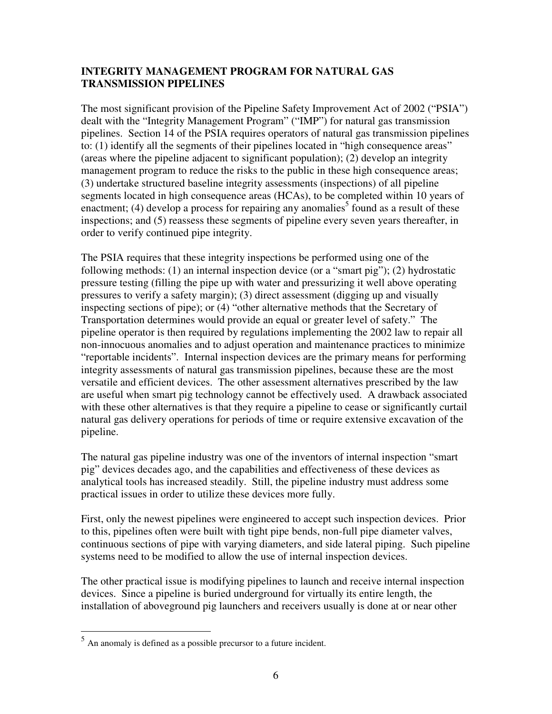## **INTEGRITY MANAGEMENT PROGRAM FOR NATURAL GAS TRANSMISSION PIPELINES**

The most significant provision of the Pipeline Safety Improvement Act of 2002 ("PSIA") dealt with the "Integrity Management Program" ("IMP") for natural gas transmission pipelines. Section 14 of the PSIA requires operators of natural gas transmission pipelines to: (1) identify all the segments of their pipelines located in "high consequence areas" (areas where the pipeline adjacent to significant population); (2) develop an integrity management program to reduce the risks to the public in these high consequence areas; (3) undertake structured baseline integrity assessments (inspections) of all pipeline segments located in high consequence areas (HCAs), to be completed within 10 years of enactment; (4) develop a process for repairing any anomalies<sup>5</sup> found as a result of these inspections; and (5) reassess these segments of pipeline every seven years thereafter, in order to verify continued pipe integrity.

The PSIA requires that these integrity inspections be performed using one of the following methods: (1) an internal inspection device (or a "smart pig"); (2) hydrostatic pressure testing (filling the pipe up with water and pressurizing it well above operating pressures to verify a safety margin); (3) direct assessment (digging up and visually inspecting sections of pipe); or (4) "other alternative methods that the Secretary of Transportation determines would provide an equal or greater level of safety." The pipeline operator is then required by regulations implementing the 2002 law to repair all non-innocuous anomalies and to adjust operation and maintenance practices to minimize "reportable incidents". Internal inspection devices are the primary means for performing integrity assessments of natural gas transmission pipelines, because these are the most versatile and efficient devices. The other assessment alternatives prescribed by the law are useful when smart pig technology cannot be effectively used. A drawback associated with these other alternatives is that they require a pipeline to cease or significantly curtail natural gas delivery operations for periods of time or require extensive excavation of the pipeline.

The natural gas pipeline industry was one of the inventors of internal inspection "smart pig" devices decades ago, and the capabilities and effectiveness of these devices as analytical tools has increased steadily. Still, the pipeline industry must address some practical issues in order to utilize these devices more fully.

First, only the newest pipelines were engineered to accept such inspection devices. Prior to this, pipelines often were built with tight pipe bends, non-full pipe diameter valves, continuous sections of pipe with varying diameters, and side lateral piping. Such pipeline systems need to be modified to allow the use of internal inspection devices.

The other practical issue is modifying pipelines to launch and receive internal inspection devices. Since a pipeline is buried underground for virtually its entire length, the installation of aboveground pig launchers and receivers usually is done at or near other

 5 An anomaly is defined as a possible precursor to a future incident.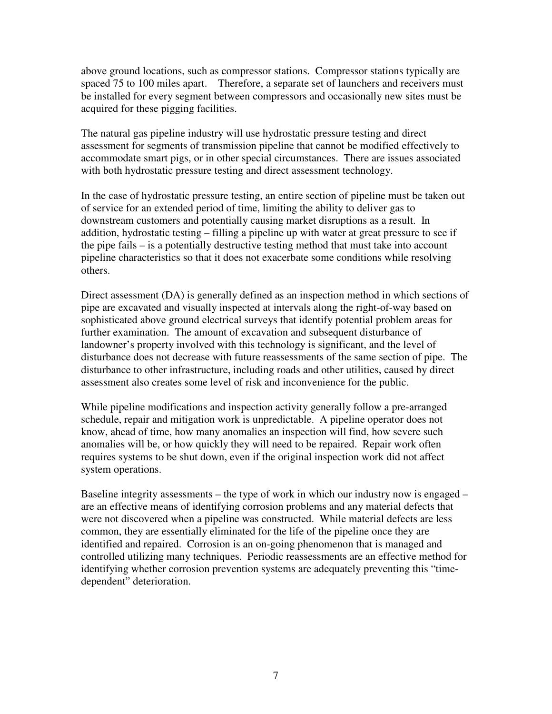above ground locations, such as compressor stations. Compressor stations typically are spaced 75 to 100 miles apart. Therefore, a separate set of launchers and receivers must be installed for every segment between compressors and occasionally new sites must be acquired for these pigging facilities.

The natural gas pipeline industry will use hydrostatic pressure testing and direct assessment for segments of transmission pipeline that cannot be modified effectively to accommodate smart pigs, or in other special circumstances. There are issues associated with both hydrostatic pressure testing and direct assessment technology.

In the case of hydrostatic pressure testing, an entire section of pipeline must be taken out of service for an extended period of time, limiting the ability to deliver gas to downstream customers and potentially causing market disruptions as a result. In addition, hydrostatic testing – filling a pipeline up with water at great pressure to see if the pipe fails – is a potentially destructive testing method that must take into account pipeline characteristics so that it does not exacerbate some conditions while resolving others.

Direct assessment (DA) is generally defined as an inspection method in which sections of pipe are excavated and visually inspected at intervals along the right-of-way based on sophisticated above ground electrical surveys that identify potential problem areas for further examination. The amount of excavation and subsequent disturbance of landowner's property involved with this technology is significant, and the level of disturbance does not decrease with future reassessments of the same section of pipe. The disturbance to other infrastructure, including roads and other utilities, caused by direct assessment also creates some level of risk and inconvenience for the public.

While pipeline modifications and inspection activity generally follow a pre-arranged schedule, repair and mitigation work is unpredictable. A pipeline operator does not know, ahead of time, how many anomalies an inspection will find, how severe such anomalies will be, or how quickly they will need to be repaired. Repair work often requires systems to be shut down, even if the original inspection work did not affect system operations.

Baseline integrity assessments – the type of work in which our industry now is engaged – are an effective means of identifying corrosion problems and any material defects that were not discovered when a pipeline was constructed. While material defects are less common, they are essentially eliminated for the life of the pipeline once they are identified and repaired. Corrosion is an on-going phenomenon that is managed and controlled utilizing many techniques. Periodic reassessments are an effective method for identifying whether corrosion prevention systems are adequately preventing this "timedependent" deterioration.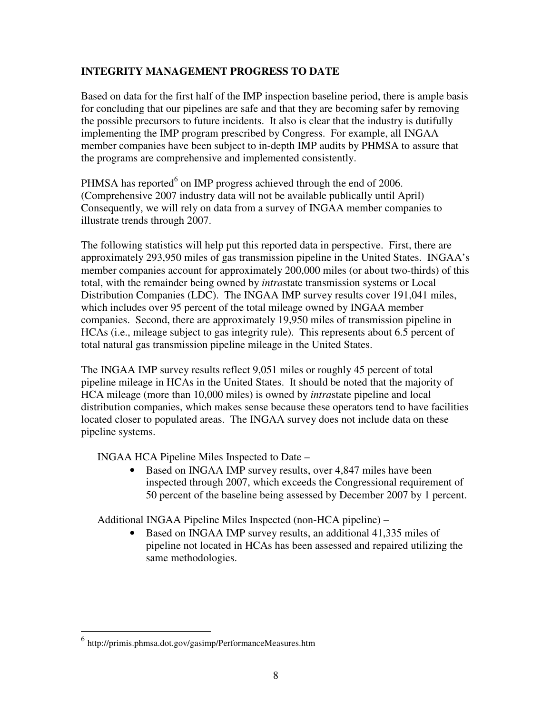## **INTEGRITY MANAGEMENT PROGRESS TO DATE**

Based on data for the first half of the IMP inspection baseline period, there is ample basis for concluding that our pipelines are safe and that they are becoming safer by removing the possible precursors to future incidents. It also is clear that the industry is dutifully implementing the IMP program prescribed by Congress. For example, all INGAA member companies have been subject to in-depth IMP audits by PHMSA to assure that the programs are comprehensive and implemented consistently.

PHMSA has reported<sup>6</sup> on IMP progress achieved through the end of 2006. (Comprehensive 2007 industry data will not be available publically until April) Consequently, we will rely on data from a survey of INGAA member companies to illustrate trends through 2007.

The following statistics will help put this reported data in perspective. First, there are approximately 293,950 miles of gas transmission pipeline in the United States. INGAA's member companies account for approximately 200,000 miles (or about two-thirds) of this total, with the remainder being owned by *intra*state transmission systems or Local Distribution Companies (LDC). The INGAA IMP survey results cover 191,041 miles, which includes over 95 percent of the total mileage owned by INGAA member companies. Second, there are approximately 19,950 miles of transmission pipeline in HCAs (i.e., mileage subject to gas integrity rule). This represents about 6.5 percent of total natural gas transmission pipeline mileage in the United States.

The INGAA IMP survey results reflect 9,051 miles or roughly 45 percent of total pipeline mileage in HCAs in the United States. It should be noted that the majority of HCA mileage (more than 10,000 miles) is owned by *intra*state pipeline and local distribution companies, which makes sense because these operators tend to have facilities located closer to populated areas. The INGAA survey does not include data on these pipeline systems.

INGAA HCA Pipeline Miles Inspected to Date –

• Based on INGAA IMP survey results, over 4,847 miles have been inspected through 2007, which exceeds the Congressional requirement of 50 percent of the baseline being assessed by December 2007 by 1 percent.

Additional INGAA Pipeline Miles Inspected (non-HCA pipeline) –

• Based on INGAA IMP survey results, an additional 41,335 miles of pipeline not located in HCAs has been assessed and repaired utilizing the same methodologies.

 6 http://primis.phmsa.dot.gov/gasimp/PerformanceMeasures.htm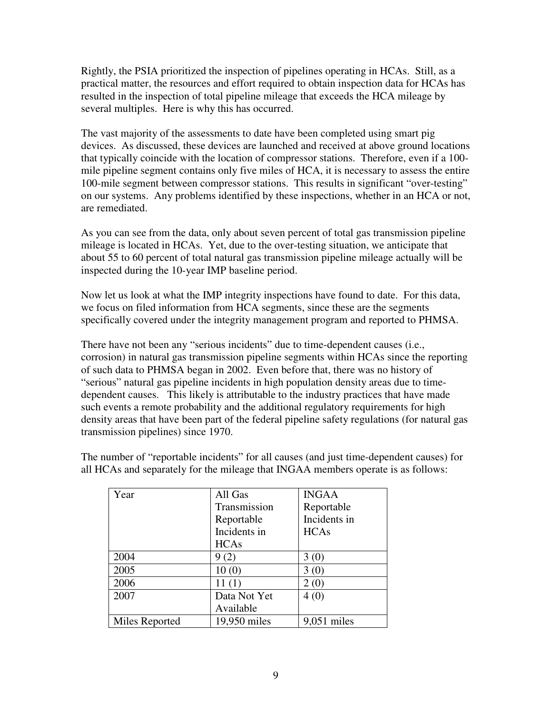Rightly, the PSIA prioritized the inspection of pipelines operating in HCAs. Still, as a practical matter, the resources and effort required to obtain inspection data for HCAs has resulted in the inspection of total pipeline mileage that exceeds the HCA mileage by several multiples. Here is why this has occurred.

The vast majority of the assessments to date have been completed using smart pig devices. As discussed, these devices are launched and received at above ground locations that typically coincide with the location of compressor stations. Therefore, even if a 100 mile pipeline segment contains only five miles of HCA, it is necessary to assess the entire 100-mile segment between compressor stations. This results in significant "over-testing" on our systems. Any problems identified by these inspections, whether in an HCA or not, are remediated.

As you can see from the data, only about seven percent of total gas transmission pipeline mileage is located in HCAs. Yet, due to the over-testing situation, we anticipate that about 55 to 60 percent of total natural gas transmission pipeline mileage actually will be inspected during the 10-year IMP baseline period.

Now let us look at what the IMP integrity inspections have found to date. For this data, we focus on filed information from HCA segments, since these are the segments specifically covered under the integrity management program and reported to PHMSA.

There have not been any "serious incidents" due to time-dependent causes (i.e., corrosion) in natural gas transmission pipeline segments within HCAs since the reporting of such data to PHMSA began in 2002. Even before that, there was no history of "serious" natural gas pipeline incidents in high population density areas due to timedependent causes. This likely is attributable to the industry practices that have made such events a remote probability and the additional regulatory requirements for high density areas that have been part of the federal pipeline safety regulations (for natural gas transmission pipelines) since 1970.

| Year           | All Gas      | <b>INGAA</b>  |
|----------------|--------------|---------------|
|                | Transmission | Reportable    |
|                | Reportable   | Incidents in  |
|                | Incidents in | <b>HCAs</b>   |
|                | <b>HCAs</b>  |               |
| 2004           | 9(2)         | 3(0)          |
| 2005           | 10(0)        | 3(0)          |
| 2006           | 11(1)        | 2(0)          |
| 2007           | Data Not Yet | 4(0)          |
|                | Available    |               |
| Miles Reported | 19,950 miles | $9,051$ miles |

The number of "reportable incidents" for all causes (and just time-dependent causes) for all HCAs and separately for the mileage that INGAA members operate is as follows: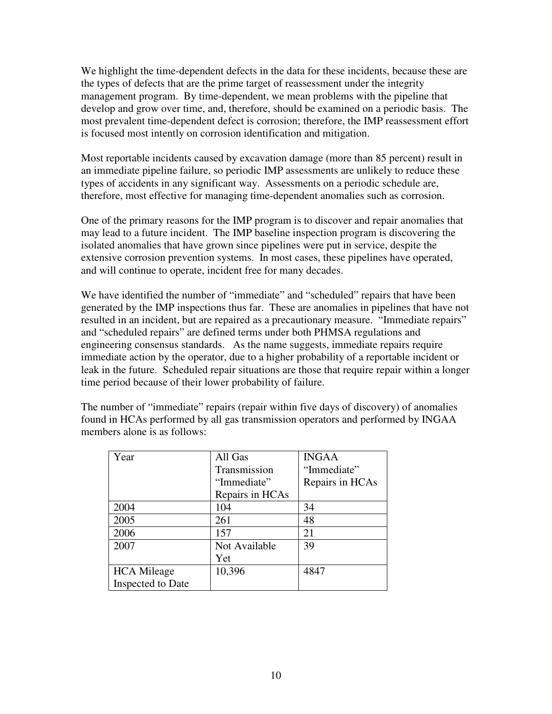We highlight the time-dependent defects in the data for these incidents, because these are the types of defects that are the prime target of reassessment under the integrity management program. By time-dependent, we mean problems with the pipeline that develop and grow over time, and, therefore, should be examined on a periodic basis. The most prevalent time-dependent defect is corrosion; therefore, the IMP reassessment effort is focused most intently on corrosion identification and mitigation.

Most reportable incidents caused by excavation damage (more than 85 percent) result in an immediate pipeline failure, so periodic IMP assessments are unlikely to reduce these types of accidents in any significant way. Assessments on a periodic schedule are, therefore, most effective for managing time-dependent anomalies such as corrosion.

One of the primary reasons for the IMP program is to discover and repair anomalies that may lead to a future incident. The IMP baseline inspection program is discovering the isolated anomalies that have grown since pipelines were put in service, despite the extensive corrosion prevention systems. In most cases, these pipelines have operated, and will continue to operate, incident free for many decades.

We have identified the number of "immediate" and "scheduled" repairs that have been generated by the IMP inspections thus far. These are anomalies in pipelines that have not resulted in an incident, but are repaired as a precautionary measure. "Immediate repairs" and "scheduled repairs" are defined terms under both PHMSA regulations and engineering consensus standards. As the name suggests, immediate repairs require immediate action by the operator, due to a higher probability of a reportable incident or leak in the future. Scheduled repair situations are those that require repair within a longer time period because of their lower probability of failure.

The number of "immediate" repairs (repair within five days of discovery) of anomalies found in HCAs performed by all gas transmission operators and performed by INGAA members alone is as follows:

| Year               | All Gas         | <b>INGAA</b>    |
|--------------------|-----------------|-----------------|
|                    | Transmission    | "Immediate"     |
|                    | "Immediate"     | Repairs in HCAs |
|                    | Repairs in HCAs |                 |
| 2004               | 104             | 34              |
| 2005               | 261             | 48              |
| 2006               | 157             | 21              |
| 2007               | Not Available   | 39              |
|                    | Yet             |                 |
| <b>HCA</b> Mileage | 10,396          | 4847            |
| Inspected to Date  |                 |                 |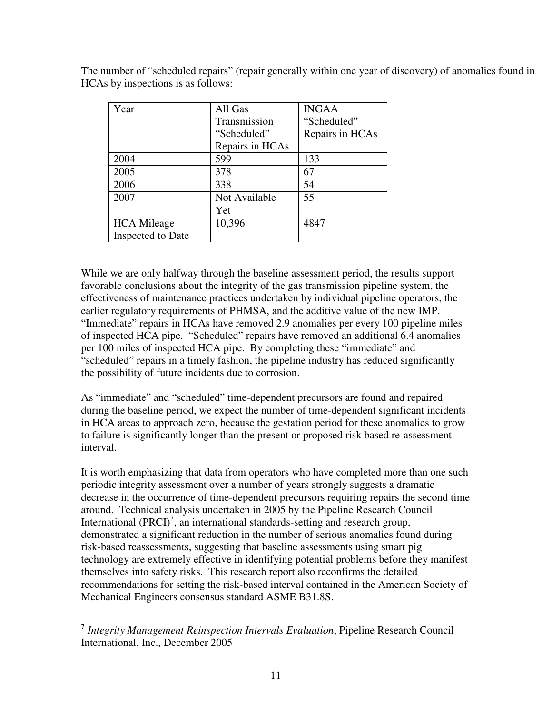| Year               | All Gas         | <b>INGAA</b>    |
|--------------------|-----------------|-----------------|
|                    | Transmission    | "Scheduled"     |
|                    | "Scheduled"     | Repairs in HCAs |
|                    | Repairs in HCAs |                 |
| 2004               | 599             | 133             |
| 2005               | 378             | 67              |
| 2006               | 338             | 54              |
| 2007               | Not Available   | 55              |
|                    | Yet             |                 |
| <b>HCA</b> Mileage | 10,396          | 4847            |
| Inspected to Date  |                 |                 |

The number of "scheduled repairs" (repair generally within one year of discovery) of anomalies found in HCAs by inspections is as follows:

While we are only halfway through the baseline assessment period, the results support favorable conclusions about the integrity of the gas transmission pipeline system, the effectiveness of maintenance practices undertaken by individual pipeline operators, the earlier regulatory requirements of PHMSA, and the additive value of the new IMP. "Immediate" repairs in HCAs have removed 2.9 anomalies per every 100 pipeline miles of inspected HCA pipe. "Scheduled" repairs have removed an additional 6.4 anomalies per 100 miles of inspected HCA pipe. By completing these "immediate" and "scheduled" repairs in a timely fashion, the pipeline industry has reduced significantly the possibility of future incidents due to corrosion.

As "immediate" and "scheduled" time-dependent precursors are found and repaired during the baseline period, we expect the number of time-dependent significant incidents in HCA areas to approach zero, because the gestation period for these anomalies to grow to failure is significantly longer than the present or proposed risk based re-assessment interval.

It is worth emphasizing that data from operators who have completed more than one such periodic integrity assessment over a number of years strongly suggests a dramatic decrease in the occurrence of time-dependent precursors requiring repairs the second time around. Technical analysis undertaken in 2005 by the Pipeline Research Council International  $(PRCI)^7$ , an international standards-setting and research group, demonstrated a significant reduction in the number of serious anomalies found during risk-based reassessments, suggesting that baseline assessments using smart pig technology are extremely effective in identifying potential problems before they manifest themselves into safety risks. This research report also reconfirms the detailed recommendations for setting the risk-based interval contained in the American Society of Mechanical Engineers consensus standard ASME B31.8S.

 7 *Integrity Management Reinspection Intervals Evaluation*, Pipeline Research Council International, Inc., December 2005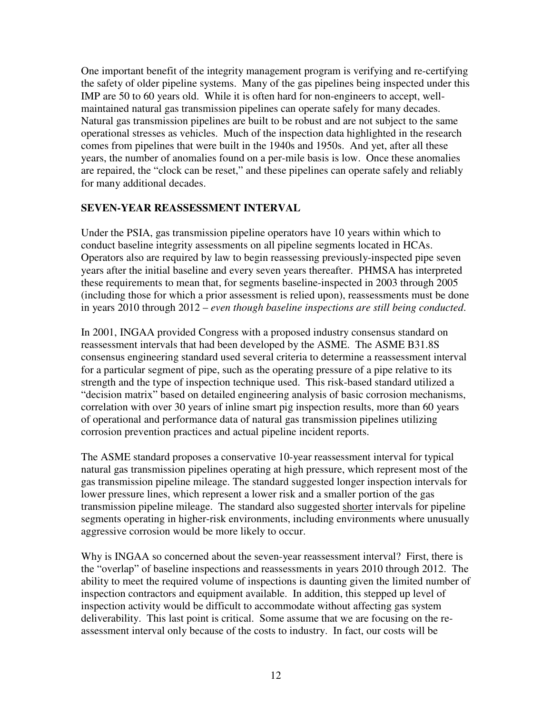One important benefit of the integrity management program is verifying and re-certifying the safety of older pipeline systems. Many of the gas pipelines being inspected under this IMP are 50 to 60 years old. While it is often hard for non-engineers to accept, wellmaintained natural gas transmission pipelines can operate safely for many decades. Natural gas transmission pipelines are built to be robust and are not subject to the same operational stresses as vehicles. Much of the inspection data highlighted in the research comes from pipelines that were built in the 1940s and 1950s. And yet, after all these years, the number of anomalies found on a per-mile basis is low. Once these anomalies are repaired, the "clock can be reset," and these pipelines can operate safely and reliably for many additional decades.

#### **SEVEN-YEAR REASSESSMENT INTERVAL**

Under the PSIA, gas transmission pipeline operators have 10 years within which to conduct baseline integrity assessments on all pipeline segments located in HCAs. Operators also are required by law to begin reassessing previously-inspected pipe seven years after the initial baseline and every seven years thereafter. PHMSA has interpreted these requirements to mean that, for segments baseline-inspected in 2003 through 2005 (including those for which a prior assessment is relied upon), reassessments must be done in years 2010 through 2012 – *even though baseline inspections are still being conducted*.

In 2001, INGAA provided Congress with a proposed industry consensus standard on reassessment intervals that had been developed by the ASME. The ASME B31.8S consensus engineering standard used several criteria to determine a reassessment interval for a particular segment of pipe, such as the operating pressure of a pipe relative to its strength and the type of inspection technique used. This risk-based standard utilized a "decision matrix" based on detailed engineering analysis of basic corrosion mechanisms, correlation with over 30 years of inline smart pig inspection results, more than 60 years of operational and performance data of natural gas transmission pipelines utilizing corrosion prevention practices and actual pipeline incident reports.

The ASME standard proposes a conservative 10-year reassessment interval for typical natural gas transmission pipelines operating at high pressure, which represent most of the gas transmission pipeline mileage. The standard suggested longer inspection intervals for lower pressure lines, which represent a lower risk and a smaller portion of the gas transmission pipeline mileage. The standard also suggested shorter intervals for pipeline segments operating in higher-risk environments, including environments where unusually aggressive corrosion would be more likely to occur.

Why is INGAA so concerned about the seven-year reassessment interval? First, there is the "overlap" of baseline inspections and reassessments in years 2010 through 2012. The ability to meet the required volume of inspections is daunting given the limited number of inspection contractors and equipment available. In addition, this stepped up level of inspection activity would be difficult to accommodate without affecting gas system deliverability. This last point is critical. Some assume that we are focusing on the reassessment interval only because of the costs to industry. In fact, our costs will be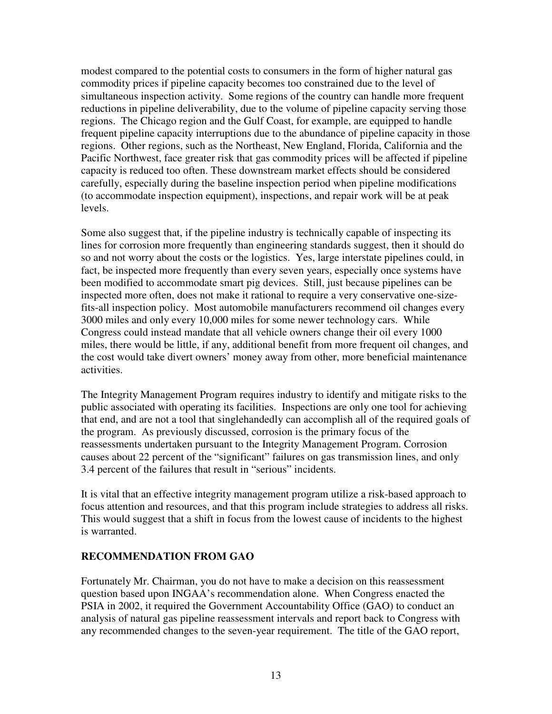modest compared to the potential costs to consumers in the form of higher natural gas commodity prices if pipeline capacity becomes too constrained due to the level of simultaneous inspection activity. Some regions of the country can handle more frequent reductions in pipeline deliverability, due to the volume of pipeline capacity serving those regions. The Chicago region and the Gulf Coast, for example, are equipped to handle frequent pipeline capacity interruptions due to the abundance of pipeline capacity in those regions. Other regions, such as the Northeast, New England, Florida, California and the Pacific Northwest, face greater risk that gas commodity prices will be affected if pipeline capacity is reduced too often. These downstream market effects should be considered carefully, especially during the baseline inspection period when pipeline modifications (to accommodate inspection equipment), inspections, and repair work will be at peak levels.

Some also suggest that, if the pipeline industry is technically capable of inspecting its lines for corrosion more frequently than engineering standards suggest, then it should do so and not worry about the costs or the logistics. Yes, large interstate pipelines could, in fact, be inspected more frequently than every seven years, especially once systems have been modified to accommodate smart pig devices. Still, just because pipelines can be inspected more often, does not make it rational to require a very conservative one-sizefits-all inspection policy. Most automobile manufacturers recommend oil changes every 3000 miles and only every 10,000 miles for some newer technology cars. While Congress could instead mandate that all vehicle owners change their oil every 1000 miles, there would be little, if any, additional benefit from more frequent oil changes, and the cost would take divert owners' money away from other, more beneficial maintenance activities.

The Integrity Management Program requires industry to identify and mitigate risks to the public associated with operating its facilities. Inspections are only one tool for achieving that end, and are not a tool that singlehandedly can accomplish all of the required goals of the program. As previously discussed, corrosion is the primary focus of the reassessments undertaken pursuant to the Integrity Management Program. Corrosion causes about 22 percent of the "significant" failures on gas transmission lines, and only 3.4 percent of the failures that result in "serious" incidents.

It is vital that an effective integrity management program utilize a risk-based approach to focus attention and resources, and that this program include strategies to address all risks. This would suggest that a shift in focus from the lowest cause of incidents to the highest is warranted.

## **RECOMMENDATION FROM GAO**

Fortunately Mr. Chairman, you do not have to make a decision on this reassessment question based upon INGAA's recommendation alone. When Congress enacted the PSIA in 2002, it required the Government Accountability Office (GAO) to conduct an analysis of natural gas pipeline reassessment intervals and report back to Congress with any recommended changes to the seven-year requirement. The title of the GAO report,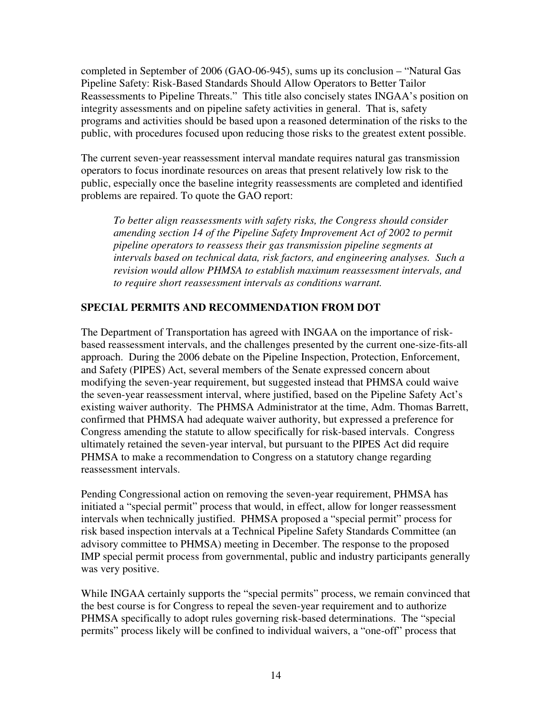completed in September of 2006 (GAO-06-945), sums up its conclusion – "Natural Gas Pipeline Safety: Risk-Based Standards Should Allow Operators to Better Tailor Reassessments to Pipeline Threats." This title also concisely states INGAA's position on integrity assessments and on pipeline safety activities in general. That is, safety programs and activities should be based upon a reasoned determination of the risks to the public, with procedures focused upon reducing those risks to the greatest extent possible.

The current seven-year reassessment interval mandate requires natural gas transmission operators to focus inordinate resources on areas that present relatively low risk to the public, especially once the baseline integrity reassessments are completed and identified problems are repaired. To quote the GAO report:

*To better align reassessments with safety risks, the Congress should consider amending section 14 of the Pipeline Safety Improvement Act of 2002 to permit pipeline operators to reassess their gas transmission pipeline segments at intervals based on technical data, risk factors, and engineering analyses. Such a revision would allow PHMSA to establish maximum reassessment intervals, and to require short reassessment intervals as conditions warrant.* 

## **SPECIAL PERMITS AND RECOMMENDATION FROM DOT**

The Department of Transportation has agreed with INGAA on the importance of riskbased reassessment intervals, and the challenges presented by the current one-size-fits-all approach. During the 2006 debate on the Pipeline Inspection, Protection, Enforcement, and Safety (PIPES) Act, several members of the Senate expressed concern about modifying the seven-year requirement, but suggested instead that PHMSA could waive the seven-year reassessment interval, where justified, based on the Pipeline Safety Act's existing waiver authority. The PHMSA Administrator at the time, Adm. Thomas Barrett, confirmed that PHMSA had adequate waiver authority, but expressed a preference for Congress amending the statute to allow specifically for risk-based intervals. Congress ultimately retained the seven-year interval, but pursuant to the PIPES Act did require PHMSA to make a recommendation to Congress on a statutory change regarding reassessment intervals.

Pending Congressional action on removing the seven-year requirement, PHMSA has initiated a "special permit" process that would, in effect, allow for longer reassessment intervals when technically justified. PHMSA proposed a "special permit" process for risk based inspection intervals at a Technical Pipeline Safety Standards Committee (an advisory committee to PHMSA) meeting in December. The response to the proposed IMP special permit process from governmental, public and industry participants generally was very positive.

While INGAA certainly supports the "special permits" process, we remain convinced that the best course is for Congress to repeal the seven-year requirement and to authorize PHMSA specifically to adopt rules governing risk-based determinations. The "special permits" process likely will be confined to individual waivers, a "one-off" process that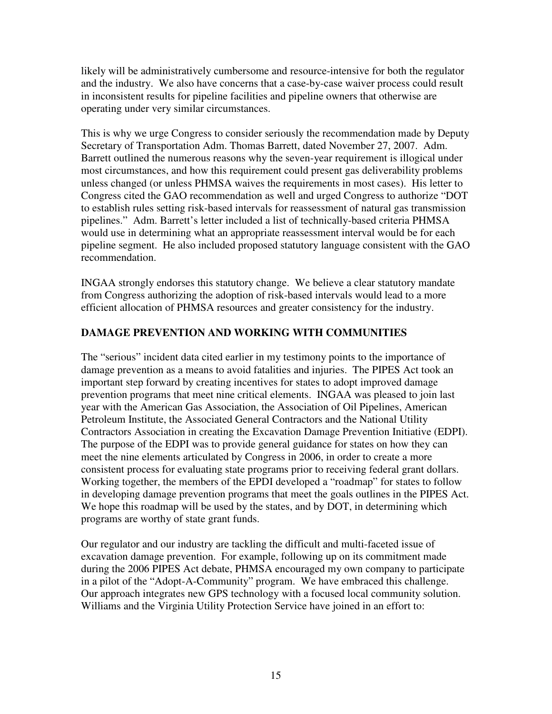likely will be administratively cumbersome and resource-intensive for both the regulator and the industry. We also have concerns that a case-by-case waiver process could result in inconsistent results for pipeline facilities and pipeline owners that otherwise are operating under very similar circumstances.

This is why we urge Congress to consider seriously the recommendation made by Deputy Secretary of Transportation Adm. Thomas Barrett, dated November 27, 2007. Adm. Barrett outlined the numerous reasons why the seven-year requirement is illogical under most circumstances, and how this requirement could present gas deliverability problems unless changed (or unless PHMSA waives the requirements in most cases). His letter to Congress cited the GAO recommendation as well and urged Congress to authorize "DOT to establish rules setting risk-based intervals for reassessment of natural gas transmission pipelines." Adm. Barrett's letter included a list of technically-based criteria PHMSA would use in determining what an appropriate reassessment interval would be for each pipeline segment. He also included proposed statutory language consistent with the GAO recommendation.

INGAA strongly endorses this statutory change. We believe a clear statutory mandate from Congress authorizing the adoption of risk-based intervals would lead to a more efficient allocation of PHMSA resources and greater consistency for the industry.

## **DAMAGE PREVENTION AND WORKING WITH COMMUNITIES**

The "serious" incident data cited earlier in my testimony points to the importance of damage prevention as a means to avoid fatalities and injuries. The PIPES Act took an important step forward by creating incentives for states to adopt improved damage prevention programs that meet nine critical elements. INGAA was pleased to join last year with the American Gas Association, the Association of Oil Pipelines, American Petroleum Institute, the Associated General Contractors and the National Utility Contractors Association in creating the Excavation Damage Prevention Initiative (EDPI). The purpose of the EDPI was to provide general guidance for states on how they can meet the nine elements articulated by Congress in 2006, in order to create a more consistent process for evaluating state programs prior to receiving federal grant dollars. Working together, the members of the EPDI developed a "roadmap" for states to follow in developing damage prevention programs that meet the goals outlines in the PIPES Act. We hope this roadmap will be used by the states, and by DOT, in determining which programs are worthy of state grant funds.

Our regulator and our industry are tackling the difficult and multi-faceted issue of excavation damage prevention. For example, following up on its commitment made during the 2006 PIPES Act debate, PHMSA encouraged my own company to participate in a pilot of the "Adopt-A-Community" program. We have embraced this challenge. Our approach integrates new GPS technology with a focused local community solution. Williams and the Virginia Utility Protection Service have joined in an effort to: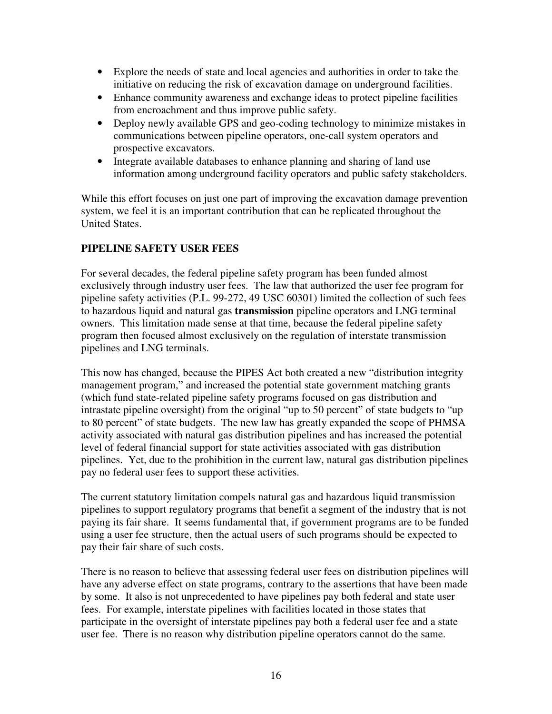- Explore the needs of state and local agencies and authorities in order to take the initiative on reducing the risk of excavation damage on underground facilities.
- Enhance community awareness and exchange ideas to protect pipeline facilities from encroachment and thus improve public safety.
- Deploy newly available GPS and geo-coding technology to minimize mistakes in communications between pipeline operators, one-call system operators and prospective excavators.
- Integrate available databases to enhance planning and sharing of land use information among underground facility operators and public safety stakeholders.

While this effort focuses on just one part of improving the excavation damage prevention system, we feel it is an important contribution that can be replicated throughout the United States.

# **PIPELINE SAFETY USER FEES**

For several decades, the federal pipeline safety program has been funded almost exclusively through industry user fees. The law that authorized the user fee program for pipeline safety activities (P.L. 99-272, 49 USC 60301) limited the collection of such fees to hazardous liquid and natural gas **transmission** pipeline operators and LNG terminal owners. This limitation made sense at that time, because the federal pipeline safety program then focused almost exclusively on the regulation of interstate transmission pipelines and LNG terminals.

This now has changed, because the PIPES Act both created a new "distribution integrity management program," and increased the potential state government matching grants (which fund state-related pipeline safety programs focused on gas distribution and intrastate pipeline oversight) from the original "up to 50 percent" of state budgets to "up to 80 percent" of state budgets. The new law has greatly expanded the scope of PHMSA activity associated with natural gas distribution pipelines and has increased the potential level of federal financial support for state activities associated with gas distribution pipelines. Yet, due to the prohibition in the current law, natural gas distribution pipelines pay no federal user fees to support these activities.

The current statutory limitation compels natural gas and hazardous liquid transmission pipelines to support regulatory programs that benefit a segment of the industry that is not paying its fair share. It seems fundamental that, if government programs are to be funded using a user fee structure, then the actual users of such programs should be expected to pay their fair share of such costs.

There is no reason to believe that assessing federal user fees on distribution pipelines will have any adverse effect on state programs, contrary to the assertions that have been made by some. It also is not unprecedented to have pipelines pay both federal and state user fees. For example, interstate pipelines with facilities located in those states that participate in the oversight of interstate pipelines pay both a federal user fee and a state user fee. There is no reason why distribution pipeline operators cannot do the same.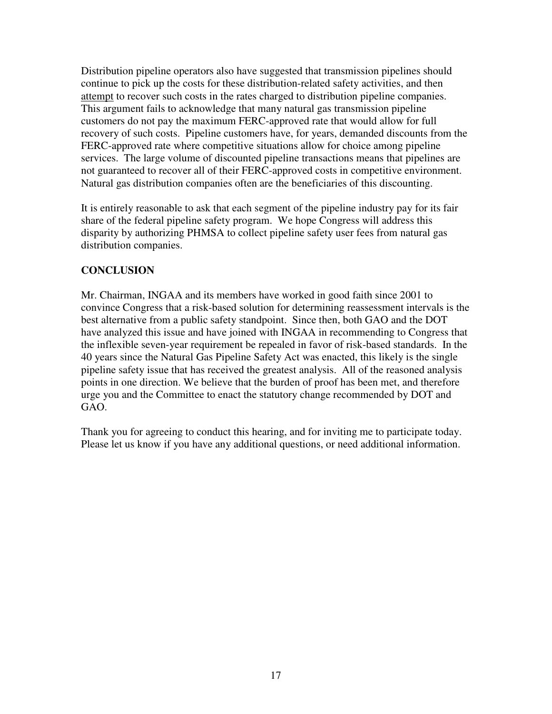Distribution pipeline operators also have suggested that transmission pipelines should continue to pick up the costs for these distribution-related safety activities, and then attempt to recover such costs in the rates charged to distribution pipeline companies. This argument fails to acknowledge that many natural gas transmission pipeline customers do not pay the maximum FERC-approved rate that would allow for full recovery of such costs. Pipeline customers have, for years, demanded discounts from the FERC-approved rate where competitive situations allow for choice among pipeline services. The large volume of discounted pipeline transactions means that pipelines are not guaranteed to recover all of their FERC-approved costs in competitive environment. Natural gas distribution companies often are the beneficiaries of this discounting.

It is entirely reasonable to ask that each segment of the pipeline industry pay for its fair share of the federal pipeline safety program. We hope Congress will address this disparity by authorizing PHMSA to collect pipeline safety user fees from natural gas distribution companies.

## **CONCLUSION**

Mr. Chairman, INGAA and its members have worked in good faith since 2001 to convince Congress that a risk-based solution for determining reassessment intervals is the best alternative from a public safety standpoint. Since then, both GAO and the DOT have analyzed this issue and have joined with INGAA in recommending to Congress that the inflexible seven-year requirement be repealed in favor of risk-based standards. In the 40 years since the Natural Gas Pipeline Safety Act was enacted, this likely is the single pipeline safety issue that has received the greatest analysis. All of the reasoned analysis points in one direction. We believe that the burden of proof has been met, and therefore urge you and the Committee to enact the statutory change recommended by DOT and GAO.

Thank you for agreeing to conduct this hearing, and for inviting me to participate today. Please let us know if you have any additional questions, or need additional information.